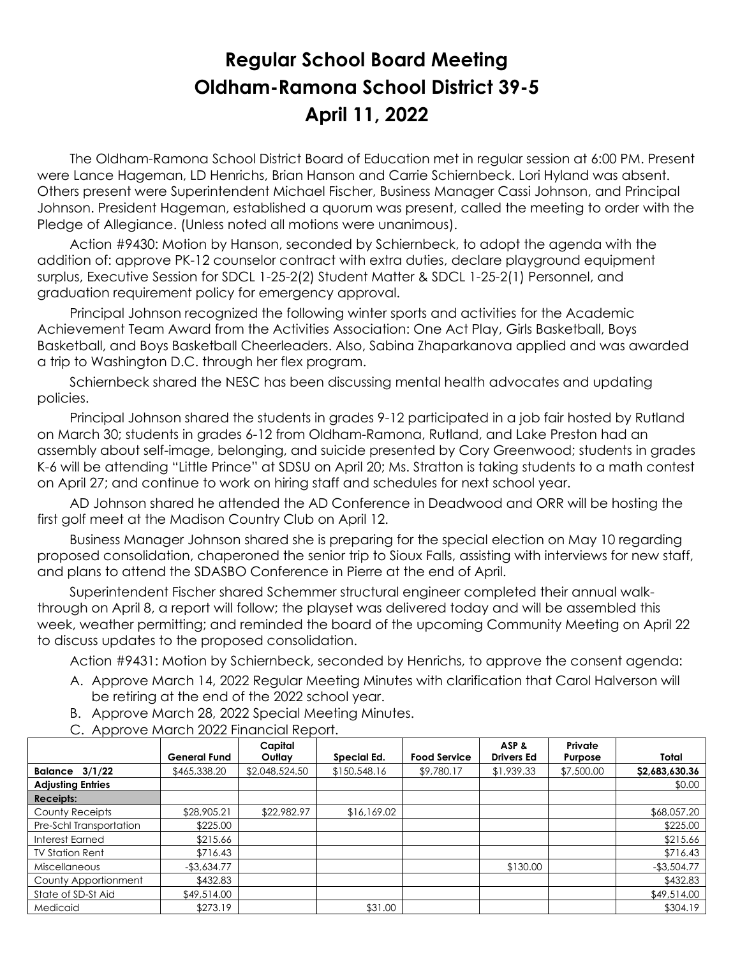## **Regular School Board Meeting Oldham-Ramona School District 39-5 April 11, 2022**

 The Oldham-Ramona School District Board of Education met in regular session at 6:00 PM. Present were Lance Hageman, LD Henrichs, Brian Hanson and Carrie Schiernbeck. Lori Hyland was absent. Others present were Superintendent Michael Fischer, Business Manager Cassi Johnson, and Principal Johnson. President Hageman, established a quorum was present, called the meeting to order with the Pledge of Allegiance. (Unless noted all motions were unanimous).

 Action #9430: Motion by Hanson, seconded by Schiernbeck, to adopt the agenda with the addition of: approve PK-12 counselor contract with extra duties, declare playground equipment surplus, Executive Session for SDCL 1-25-2(2) Student Matter & SDCL 1-25-2(1) Personnel, and graduation requirement policy for emergency approval.

 Principal Johnson recognized the following winter sports and activities for the Academic Achievement Team Award from the Activities Association: One Act Play, Girls Basketball, Boys Basketball, and Boys Basketball Cheerleaders. Also, Sabina Zhaparkanova applied and was awarded a trip to Washington D.C. through her flex program.

 Schiernbeck shared the NESC has been discussing mental health advocates and updating policies.

 Principal Johnson shared the students in grades 9-12 participated in a job fair hosted by Rutland on March 30; students in grades 6-12 from Oldham-Ramona, Rutland, and Lake Preston had an assembly about self-image, belonging, and suicide presented by Cory Greenwood; students in grades K-6 will be attending "Little Prince" at SDSU on April 20; Ms. Stratton is taking students to a math contest on April 27; and continue to work on hiring staff and schedules for next school year.

 AD Johnson shared he attended the AD Conference in Deadwood and ORR will be hosting the first golf meet at the Madison Country Club on April 12.

 Business Manager Johnson shared she is preparing for the special election on May 10 regarding proposed consolidation, chaperoned the senior trip to Sioux Falls, assisting with interviews for new staff, and plans to attend the SDASBO Conference in Pierre at the end of April.

 Superintendent Fischer shared Schemmer structural engineer completed their annual walkthrough on April 8, a report will follow; the playset was delivered today and will be assembled this week, weather permitting; and reminded the board of the upcoming Community Meeting on April 22 to discuss updates to the proposed consolidation.

Action #9431: Motion by Schiernbeck, seconded by Henrichs, to approve the consent agenda:

- A. Approve March 14, 2022 Regular Meeting Minutes with clarification that Carol Halverson will be retiring at the end of the 2022 school year.
- B. Approve March 28, 2022 Special Meeting Minutes.
- C. Approve March 2022 Financial Report.

|                          | <b>General Fund</b> | Capital<br>Outlay | Special Ed.  | <b>Food Service</b> | ASP &<br><b>Drivers Ed</b> | Private<br>Purpose | Total          |
|--------------------------|---------------------|-------------------|--------------|---------------------|----------------------------|--------------------|----------------|
| <b>Balance 3/1/22</b>    | \$465,338.20        | \$2,048,524.50    | \$150,548.16 | \$9,780.17          | \$1,939.33                 | \$7,500.00         | \$2,683,630.36 |
| <b>Adjusting Entries</b> |                     |                   |              |                     |                            |                    | \$0.00         |
| Receipts:                |                     |                   |              |                     |                            |                    |                |
| County Receipts          | \$28,905.21         | \$22,982.97       | \$16,169.02  |                     |                            |                    | \$68,057.20    |
| Pre-Schl Transportation  | \$225.00            |                   |              |                     |                            |                    | \$225.00       |
| <b>Interest Earned</b>   | \$215.66            |                   |              |                     |                            |                    | \$215.66       |
| <b>TV Station Rent</b>   | \$716.43            |                   |              |                     |                            |                    | \$716.43       |
| <b>Miscellaneous</b>     | $-$3,634.77$        |                   |              |                     | \$130.00                   |                    | $-$3,504.77$   |
| County Apportionment     | \$432.83            |                   |              |                     |                            |                    | \$432.83       |
| State of SD-St Aid       | \$49,514.00         |                   |              |                     |                            |                    | \$49,514.00    |
| Medicaid                 | \$273.19            |                   | \$31.00      |                     |                            |                    | \$304.19       |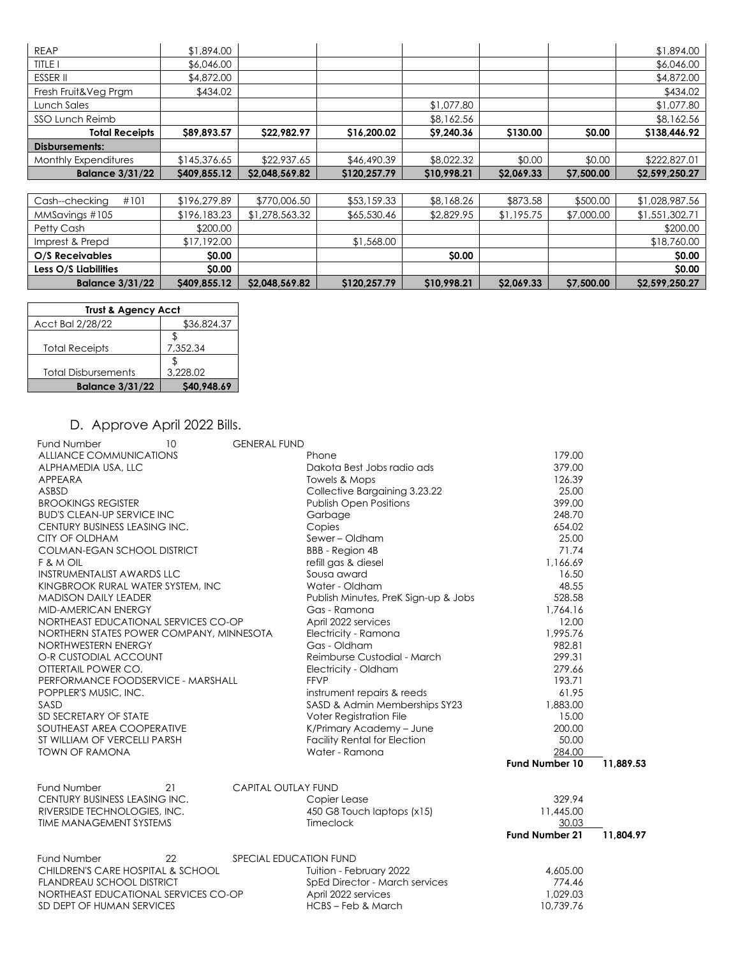| <b>REAP</b>            | \$1,894.00   |                |              |             |            |            | \$1,894.00     |
|------------------------|--------------|----------------|--------------|-------------|------------|------------|----------------|
| <b>TITLE I</b>         | \$6,046.00   |                |              |             |            |            | \$6,046.00     |
| ESSER II               | \$4,872.00   |                |              |             |            |            | \$4,872.00     |
| Fresh Fruit&Veg Prgm   | \$434.02     |                |              |             |            |            | \$434.02       |
| Lunch Sales            |              |                |              | \$1,077.80  |            |            | \$1,077.80     |
| <b>SSO Lunch Reimb</b> |              |                |              | \$8,162.56  |            |            | \$8,162.56     |
| <b>Total Receipts</b>  | \$89,893.57  | \$22,982.97    | \$16,200.02  | \$9,240.36  | \$130.00   | \$0.00     | \$138,446.92   |
| Disbursements:         |              |                |              |             |            |            |                |
| Monthly Expenditures   | \$145,376.65 | \$22,937.65    | \$46,490.39  | \$8,022.32  | \$0.00     | \$0.00     | \$222,827.01   |
|                        |              |                |              |             |            |            |                |
| <b>Balance 3/31/22</b> | \$409,855.12 | \$2,048,569.82 | \$120,257.79 | \$10,998.21 | \$2,069.33 | \$7,500.00 | \$2,599,250.27 |
|                        |              |                |              |             |            |            |                |
| #101<br>Cash--checking | \$196,279.89 | \$770,006.50   | \$53,159.33  | \$8,168.26  | \$873.58   | \$500.00   | \$1,028,987.56 |
| MMSavings #105         | \$196,183.23 | \$1,278,563.32 | \$65,530.46  | \$2,829.95  | \$1,195.75 | \$7,000.00 | \$1,551,302.71 |
| Petty Cash             | \$200.00     |                |              |             |            |            | \$200.00       |
| Imprest & Prepd        | \$17,192.00  |                | \$1,568.00   |             |            |            | \$18,760.00    |
| O/S Receivables        | \$0.00       |                |              | \$0.00      |            |            | \$0.00         |
| Less O/S Liabilities   | \$0.00       |                |              |             |            |            | \$0.00         |

| <b>Trust &amp; Agency Acct</b> |             |  |  |  |
|--------------------------------|-------------|--|--|--|
| Acct Bal 2/28/22               | \$36,824.37 |  |  |  |
|                                |             |  |  |  |
| <b>Total Receipts</b>          | 7.352.34    |  |  |  |
|                                |             |  |  |  |
| <b>Total Disbursements</b>     | 3,228,02    |  |  |  |
| <b>Balance 3/31/22</b>         | \$40,948.69 |  |  |  |

## D. Approve April 2022 Bills.

| Fund Number<br>10                        | <b>GENERAL FUND</b>        |                                      |                       |           |
|------------------------------------------|----------------------------|--------------------------------------|-----------------------|-----------|
| ALLIANCE COMMUNICATIONS                  |                            | Phone                                | 179.00                |           |
| ALPHAMEDIA USA, LLC                      |                            | Dakota Best Jobs radio ads           | 379.00                |           |
| APPEARA                                  |                            | Towels & Mops                        | 126.39                |           |
| ASBSD                                    |                            | Collective Bargaining 3.23.22        | 25.00                 |           |
| <b>BROOKINGS REGISTER</b>                |                            | <b>Publish Open Positions</b>        | 399.00                |           |
| <b>BUD'S CLEAN-UP SERVICE INC</b>        |                            | Garbage                              | 248.70                |           |
| CENTURY BUSINESS LEASING INC.            |                            | Copies                               | 654.02                |           |
| CITY OF OLDHAM                           |                            | Sewer - Oldham                       | 25.00                 |           |
| COLMAN-EGAN SCHOOL DISTRICT              |                            | <b>BBB</b> - Region 4B               | 71.74                 |           |
| F & M OIL                                |                            | refill gas & diesel                  | 1,166.69              |           |
| <b>INSTRUMENTALIST AWARDS LLC</b>        |                            | Sousa award                          | 16.50<br>48.55        |           |
| KINGBROOK RURAL WATER SYSTEM, INC        |                            | Water - Oldham                       |                       |           |
| <b>MADISON DAILY LEADER</b>              |                            | Publish Minutes, PreK Sign-up & Jobs | 528.58                |           |
| <b>MID-AMERICAN ENERGY</b>               |                            | Gas - Ramona                         | 1,764.16              |           |
| NORTHEAST EDUCATIONAL SERVICES CO-OP     |                            | April 2022 services                  | 12.00<br>1,995.76     |           |
| NORTHERN STATES POWER COMPANY, MINNESOTA |                            | Electricity - Ramona                 |                       |           |
| NORTHWESTERN ENERGY                      |                            | Gas - Oldham                         | 982.81                |           |
| O-R CUSTODIAL ACCOUNT                    |                            | Reimburse Custodial - March          | 299.31                |           |
| OTTERTAIL POWER CO.                      |                            | Electricity - Oldham                 | 279.66                |           |
| PERFORMANCE FOODSERVICE - MARSHALL       |                            | <b>FFVP</b>                          | 193.71                |           |
| POPPLER'S MUSIC, INC.                    |                            | instrument repairs & reeds           | 61.95                 |           |
| SASD                                     |                            | SASD & Admin Memberships SY23        | 1,883.00              |           |
| SD SECRETARY OF STATE                    |                            | Voter Registration File              | 15.00                 |           |
| SOUTHEAST AREA COOPERATIVE               |                            | K/Primary Academy - June             | 200.00                |           |
| ST WILLIAM OF VERCELLI PARSH             |                            | <b>Facility Rental for Election</b>  | 50.00                 |           |
| <b>TOWN OF RAMONA</b>                    |                            | Water - Ramona                       | 284.00                |           |
|                                          |                            |                                      | <b>Fund Number 10</b> | 11,889.53 |
|                                          |                            |                                      |                       |           |
| Fund Number<br>21                        | <b>CAPITAL OUTLAY FUND</b> |                                      |                       |           |
| CENTURY BUSINESS LEASING INC.            |                            | Copier Lease                         | 329.94                |           |
| RIVERSIDE TECHNOLOGIES, INC.             |                            | 450 G8 Touch laptops (x15)           | 11,445.00             |           |
| <b>TIME MANAGEMENT SYSTEMS</b>           |                            | <b>Timeclock</b>                     | 30.03                 |           |
|                                          |                            |                                      | <b>Fund Number 21</b> | 11,804.97 |
| Fund Number<br>22                        | SPECIAL EDUCATION FUND     |                                      |                       |           |
| CHILDREN'S CARE HOSPITAL & SCHOOL        |                            | Tuition - February 2022              | 4,605.00              |           |
| <b>FLANDREAU SCHOOL DISTRICT</b>         |                            | SpEd Director - March services       | 774.46                |           |
| NORTHEAST EDUCATIONAL SERVICES CO-OP     |                            | April 2022 services                  | 1,029.03              |           |
| SD DEPT OF HUMAN SERVICES                |                            | HCBS - Feb & March                   | 10.739.76             |           |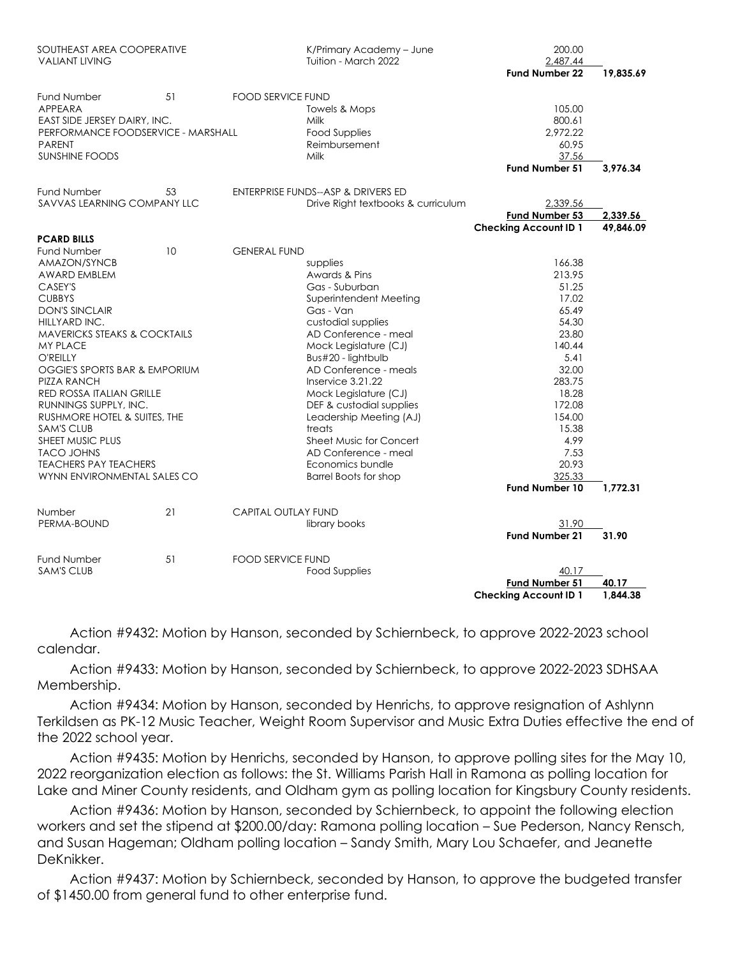| SOUTHEAST AREA COOPERATIVE<br><b>VALIANT LIVING</b>                                                                                                                                                                                                                                                                                                                                                                                            |    |                            | K/Primary Academy - June<br>Tuition - March 2022                                                                                                                                                                                                                                                                                                                                                                               | 200.00<br>2,487.44                                                                                                                                                          | 19,835.69             |  |
|------------------------------------------------------------------------------------------------------------------------------------------------------------------------------------------------------------------------------------------------------------------------------------------------------------------------------------------------------------------------------------------------------------------------------------------------|----|----------------------------|--------------------------------------------------------------------------------------------------------------------------------------------------------------------------------------------------------------------------------------------------------------------------------------------------------------------------------------------------------------------------------------------------------------------------------|-----------------------------------------------------------------------------------------------------------------------------------------------------------------------------|-----------------------|--|
|                                                                                                                                                                                                                                                                                                                                                                                                                                                |    |                            |                                                                                                                                                                                                                                                                                                                                                                                                                                | <b>Fund Number 22</b>                                                                                                                                                       |                       |  |
| <b>Fund Number</b><br><b>APPEARA</b><br>EAST SIDE JERSEY DAIRY, INC.<br>PERFORMANCE FOODSERVICE - MARSHALL<br><b>PARENT</b><br>SUNSHINE FOODS                                                                                                                                                                                                                                                                                                  | 51 | <b>FOOD SERVICE FUND</b>   | Towels & Mops<br>Milk<br><b>Food Supplies</b><br>Reimbursement<br>Milk                                                                                                                                                                                                                                                                                                                                                         | 105.00<br>800.61<br>2.972.22<br>60.95<br>37.56                                                                                                                              |                       |  |
|                                                                                                                                                                                                                                                                                                                                                                                                                                                |    |                            |                                                                                                                                                                                                                                                                                                                                                                                                                                | Fund Number 51                                                                                                                                                              | 3,976.34              |  |
| <b>Fund Number</b><br>SAVVAS LEARNING COMPANY LLC                                                                                                                                                                                                                                                                                                                                                                                              | 53 |                            | ENTERPRISE FUNDS--ASP & DRIVERS ED<br>Drive Right textbooks & curriculum                                                                                                                                                                                                                                                                                                                                                       | 2,339.56<br><b>Fund Number 53</b><br><b>Checking Account ID 1</b>                                                                                                           | 2.339.56<br>49,846.09 |  |
| <b>PCARD BILLS</b><br>Fund Number                                                                                                                                                                                                                                                                                                                                                                                                              | 10 | <b>GENERAL FUND</b>        |                                                                                                                                                                                                                                                                                                                                                                                                                                |                                                                                                                                                                             |                       |  |
| AMAZON/SYNCB<br>AWARD EMBLEM<br>CASEY'S<br><b>CUBBYS</b><br><b>DON'S SINCLAIR</b><br>HILLYARD INC.<br><b>MAVERICKS STEAKS &amp; COCKTAILS</b><br>MY PLACE<br><b>O'REILLY</b><br>OGGIE'S SPORTS BAR & EMPORIUM<br>PIZZA RANCH<br>RED ROSSA ITALIAN GRILLE<br>RUNNINGS SUPPLY, INC.<br>RUSHMORE HOTEL & SUITES, THE<br><b>SAM'S CLUB</b><br>SHEET MUSIC PLUS<br><b>TACO JOHNS</b><br><b>TEACHERS PAY TEACHERS</b><br>WYNN ENVIRONMENTAL SALES CO |    |                            | supplies<br>Awards & Pins<br>Gas - Suburban<br>Superintendent Meeting<br>Gas - Van<br>custodial supplies<br>AD Conference - meal<br>Mock Legislature (CJ)<br>Bus#20 - lightbulb<br>AD Conference - meals<br>Inservice 3.21.22<br>Mock Legislature (CJ)<br>DEF & custodial supplies<br>Leadership Meeting (AJ)<br>treats<br>Sheet Music for Concert<br>AD Conference - meal<br>Economics bundle<br><b>Barrel Boots for shop</b> | 166.38<br>213.95<br>51.25<br>17.02<br>65.49<br>54.30<br>23.80<br>140.44<br>5.41<br>32.00<br>283.75<br>18.28<br>172.08<br>154.00<br>15.38<br>4.99<br>7.53<br>20.93<br>325.33 |                       |  |
|                                                                                                                                                                                                                                                                                                                                                                                                                                                |    |                            |                                                                                                                                                                                                                                                                                                                                                                                                                                | <b>Fund Number 10</b>                                                                                                                                                       | 1,772.31              |  |
| Number<br>PERMA-BOUND                                                                                                                                                                                                                                                                                                                                                                                                                          | 21 | <b>CAPITAL OUTLAY FUND</b> | library books                                                                                                                                                                                                                                                                                                                                                                                                                  | 31.90<br>Fund Number 21                                                                                                                                                     | 31.90                 |  |
| Fund Number<br><b>SAM'S CLUB</b>                                                                                                                                                                                                                                                                                                                                                                                                               | 51 | <b>FOOD SERVICE FUND</b>   | <b>Food Supplies</b>                                                                                                                                                                                                                                                                                                                                                                                                           | 40.17<br>Fund Number 51<br><b>Checking Account ID 1</b>                                                                                                                     | 40.17<br>1.844.38     |  |

 Action #9432: Motion by Hanson, seconded by Schiernbeck, to approve 2022-2023 school calendar.

 Action #9433: Motion by Hanson, seconded by Schiernbeck, to approve 2022-2023 SDHSAA Membership.

 Action #9434: Motion by Hanson, seconded by Henrichs, to approve resignation of Ashlynn Terkildsen as PK-12 Music Teacher, Weight Room Supervisor and Music Extra Duties effective the end of the 2022 school year.

 Action #9435: Motion by Henrichs, seconded by Hanson, to approve polling sites for the May 10, 2022 reorganization election as follows: the St. Williams Parish Hall in Ramona as polling location for Lake and Miner County residents, and Oldham gym as polling location for Kingsbury County residents.

 Action #9436: Motion by Hanson, seconded by Schiernbeck, to appoint the following election workers and set the stipend at \$200.00/day: Ramona polling location – Sue Pederson, Nancy Rensch, and Susan Hageman; Oldham polling location – Sandy Smith, Mary Lou Schaefer, and Jeanette DeKnikker.

 Action #9437: Motion by Schiernbeck, seconded by Hanson, to approve the budgeted transfer of \$1450.00 from general fund to other enterprise fund.